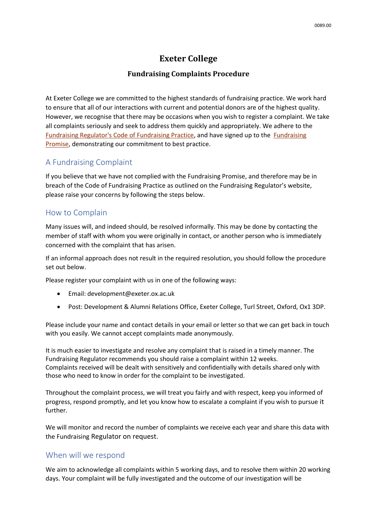# **Exeter College**

#### **Fundraising Complaints Procedure**

At Exeter College we are committed to the highest standards of fundraising practice. We work hard to ensure that all of our interactions with current and potential donors are of the highest quality. However, we recognise that there may be occasions when you wish to register a complaint. We take all complaints seriously and seek to address them quickly and appropriately. We adhere to the [Fundraising Regulator's Code of Fundraising Practice,](https://www.fundraisingregulator.org.uk/code-of-fundraising-practice/code-of-fundraising-practice-v1-4-310717-docx/) and have signed up to the [Fundraising](https://www.fundraisingregulator.org.uk/code-of-fundraising-practice/the-fundraising-promise/)  [Promise,](https://www.fundraisingregulator.org.uk/code-of-fundraising-practice/the-fundraising-promise/) demonstrating our commitment to best practice.

### A Fundraising Complaint

If you believe that we have not complied with the [Fundraising Promise,](https://www.fundraisingregulator.org.uk/code-of-fundraising-practice/the-fundraising-promise/) and therefore may be in breach of the [Code of Fundraising Practice](https://www.fundraisingregulator.org.uk/code-of-fundraising-practice/code-of-fundraising-practice-v1-4-310717-docx/) as outlined on the Fundraising Regulator's website, please raise your concerns by following the steps below.

### How to Complain

Many issues will, and indeed should, be resolved informally. This may be done by contacting the member of staff with whom you were originally in contact, or another person who is immediately concerned with the complaint that has arisen.

If an informal approach does not result in the required resolution, you should follow the procedure set out below.

Please register your complaint with us in one of the following ways:

- Email: development@exeter.ox.ac.uk
- Post: Development & Alumni Relations Office, Exeter College, Turl Street, Oxford, Ox1 3DP.

Please include your name and contact details in your email or letter so that we can get back in touch with you easily. We cannot accept complaints made anonymously.

It is much easier to investigate and resolve any complaint that is raised in a timely manner. The Fundraising Regulator recommends you should raise a complaint within 12 weeks. Complaints received will be dealt with sensitively and confidentially with details shared only with those who need to know in order for the complaint to be investigated.

Throughout the complaint process, we will treat you fairly and with respect, keep you informed of progress, respond promptly, and let you know how to escalate a complaint if you wish to pursue it further.

We will monitor and record the number of complaints we receive each year and share this data with the Fundraising Regulator on request.

#### When will we respond

We aim to acknowledge all complaints within 5 working days, and to resolve them within 20 working days. Your complaint will be fully investigated and the outcome of our investigation will be